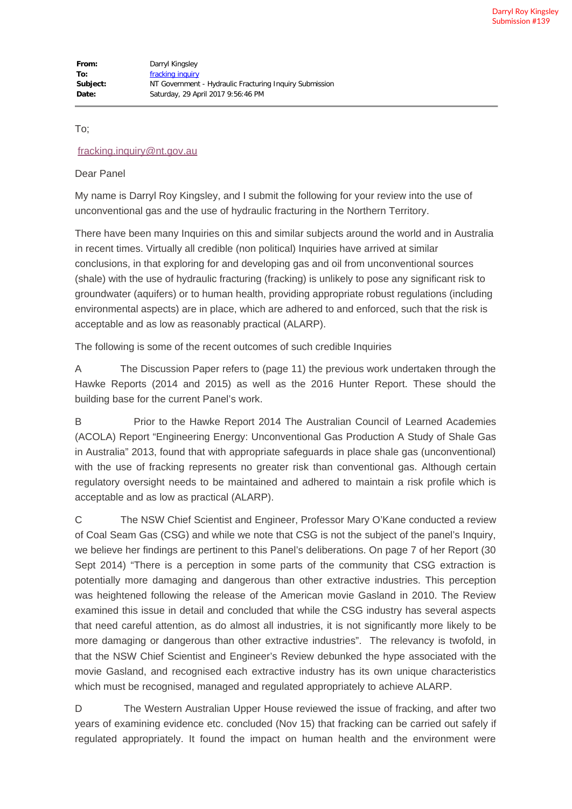To;

## fracking.inquiry@nt.gov.au

## Dear Panel

My name is Darryl Roy Kingsley, and I submit the following for your review into the use of unconventional gas and the use of hydraulic fracturing in the Northern Territory.

There have been many Inquiries on this and similar subjects around the world and in Australia in recent times. Virtually all credible (non political) Inquiries have arrived at similar conclusions, in that exploring for and developing gas and oil from unconventional sources (shale) with the use of hydraulic fracturing (fracking) is unlikely to pose any significant risk to groundwater (aquifers) or to human health, providing appropriate robust regulations (including environmental aspects) are in place, which are adhered to and enforced, such that the risk is acceptable and as low as reasonably practical (ALARP).

The following is some of the recent outcomes of such credible Inquiries

A The Discussion Paper refers to (page 11) the previous work undertaken through the Hawke Reports (2014 and 2015) as well as the 2016 Hunter Report. These should the building base for the current Panel's work.

B Prior to the Hawke Report 2014 The Australian Council of Learned Academies (ACOLA) Report "Engineering Energy: Unconventional Gas Production A Study of Shale Gas in Australia" 2013, found that with appropriate safeguards in place shale gas (unconventional) with the use of fracking represents no greater risk than conventional gas. Although certain regulatory oversight needs to be maintained and adhered to maintain a risk profile which is acceptable and as low as practical (ALARP).

C The NSW Chief Scientist and Engineer, Professor Mary O'Kane conducted a review of Coal Seam Gas (CSG) and while we note that CSG is not the subject of the panel's Inquiry, we believe her findings are pertinent to this Panel's deliberations. On page 7 of her Report (30 Sept 2014) "There is a perception in some parts of the community that CSG extraction is potentially more damaging and dangerous than other extractive industries. This perception was heightened following the release of the American movie Gasland in 2010. The Review examined this issue in detail and concluded that while the CSG industry has several aspects that need careful attention, as do almost all industries, it is not significantly more likely to be more damaging or dangerous than other extractive industries". The relevancy is twofold, in that the NSW Chief Scientist and Engineer's Review debunked the hype associated with the movie Gasland, and recognised each extractive industry has its own unique characteristics which must be recognised, managed and regulated appropriately to achieve ALARP.

D The Western Australian Upper House reviewed the issue of fracking, and after two years of examining evidence etc. concluded (Nov 15) that fracking can be carried out safely if regulated appropriately. It found the impact on human health and the environment were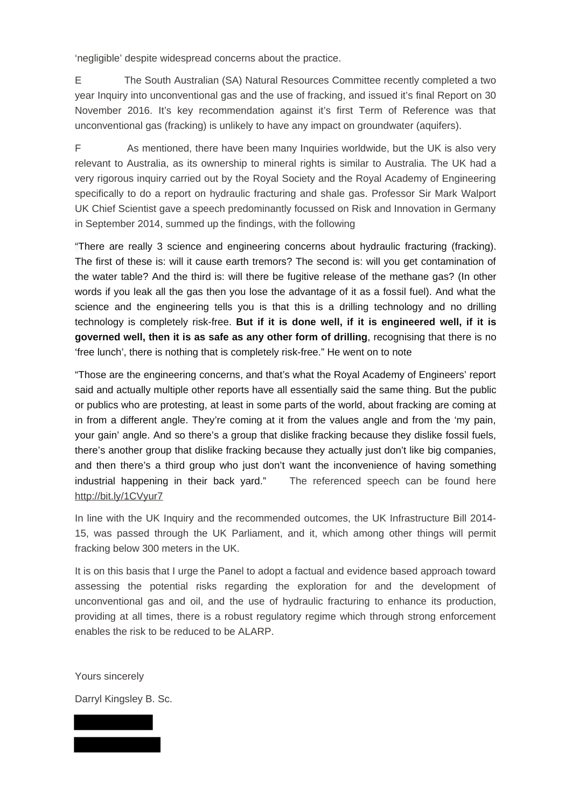'negligible' despite widespread concerns about the practice.

E The South Australian (SA) Natural Resources Committee recently completed a two year Inquiry into unconventional gas and the use of fracking, and issued it's final Report on 30 November 2016. It's key recommendation against it's first Term of Reference was that unconventional gas (fracking) is unlikely to have any impact on groundwater (aquifers).

F As mentioned, there have been many Inquiries worldwide, but the UK is also very relevant to Australia, as its ownership to mineral rights is similar to Australia. The UK had a very rigorous inquiry carried out by the Royal Society and the Royal Academy of Engineering specifically to do a report on hydraulic fracturing and shale gas. Professor Sir Mark Walport UK Chief Scientist gave a speech predominantly focussed on Risk and Innovation in Germany in September 2014, summed up the findings, with the following

"There are really 3 science and engineering concerns about hydraulic fracturing (fracking). The first of these is: will it cause earth tremors? The second is: will you get contamination of the water table? And the third is: will there be fugitive release of the methane gas? (In other words if you leak all the gas then you lose the advantage of it as a fossil fuel). And what the science and the engineering tells you is that this is a drilling technology and no drilling technology is completely risk-free. **But if it is done well, if it is engineered well, if it is governed well, then it is as safe as any other form of drilling**, recognising that there is no 'free lunch', there is nothing that is completely risk-free." He went on to note

"Those are the engineering concerns, and that's what the Royal Academy of Engineers' report said and actually multiple other reports have all essentially said the same thing. But the public or publics who are protesting, at least in some parts of the world, about fracking are coming at in from a different angle. They're coming at it from the values angle and from the 'my pain, your gain' angle. And so there's a group that dislike fracking because they dislike fossil fuels, there's another group that dislike fracking because they actually just don't like big companies, and then there's a third group who just don't want the inconvenience of having something industrial happening in their back yard." The referenced speech can be found here http://bit.ly/1CVyur7

In line with the UK Inquiry and the recommended outcomes, the UK Infrastructure Bill 2014- 15, was passed through the UK Parliament, and it, which among other things will permit fracking below 300 meters in the UK.

It is on this basis that I urge the Panel to adopt a factual and evidence based approach toward assessing the potential risks regarding the exploration for and the development of unconventional gas and oil, and the use of hydraulic fracturing to enhance its production, providing at all times, there is a robust regulatory regime which through strong enforcement enables the risk to be reduced to be ALARP.

Yours sincerely

Darryl Kingsley B. Sc.